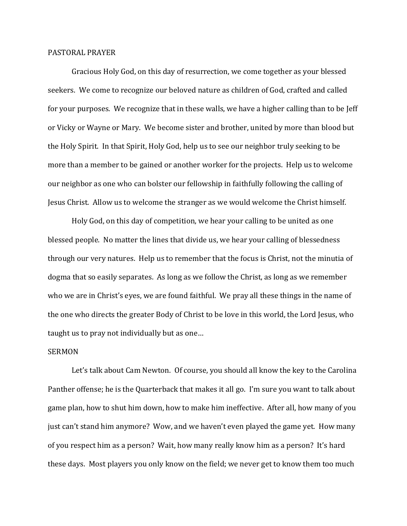## PASTORAL PRAYER

Gracious Holy God, on this day of resurrection, we come together as your blessed seekers. We come to recognize our beloved nature as children of God, crafted and called for your purposes. We recognize that in these walls, we have a higher calling than to be Jeff or Vicky or Wayne or Mary. We become sister and brother, united by more than blood but the Holy Spirit. In that Spirit, Holy God, help us to see our neighbor truly seeking to be more than a member to be gained or another worker for the projects. Help us to welcome our neighbor as one who can bolster our fellowship in faithfully following the calling of Jesus Christ. Allow us to welcome the stranger as we would welcome the Christ himself.

Holy God, on this day of competition, we hear your calling to be united as one blessed people. No matter the lines that divide us, we hear your calling of blessedness through our very natures. Help us to remember that the focus is Christ, not the minutia of dogma that so easily separates. As long as we follow the Christ, as long as we remember who we are in Christ's eyes, we are found faithful. We pray all these things in the name of the one who directs the greater Body of Christ to be love in this world, the Lord Jesus, who taught us to pray not individually but as one…

## SERMON

Let's talk about Cam Newton. Of course, you should all know the key to the Carolina Panther offense; he is the Quarterback that makes it all go. I'm sure you want to talk about game plan, how to shut him down, how to make him ineffective. After all, how many of you just can't stand him anymore? Wow, and we haven't even played the game yet. How many of you respect him as a person? Wait, how many really know him as a person? It's hard these days. Most players you only know on the field; we never get to know them too much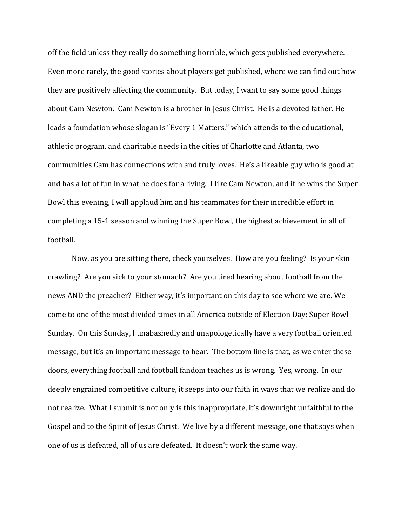off the field unless they really do something horrible, which gets published everywhere. Even more rarely, the good stories about players get published, where we can find out how they are positively affecting the community. But today, I want to say some good things about Cam Newton. Cam Newton is a brother in Jesus Christ. He is a devoted father. He leads a foundation whose slogan is "Every 1 Matters," which attends to the educational, athletic program, and charitable needs in the cities of Charlotte and Atlanta, two communities Cam has connections with and truly loves. He's a likeable guy who is good at and has a lot of fun in what he does for a living. I like Cam Newton, and if he wins the Super Bowl this evening, I will applaud him and his teammates for their incredible effort in completing a 15-1 season and winning the Super Bowl, the highest achievement in all of football.

Now, as you are sitting there, check yourselves. How are you feeling? Is your skin crawling? Are you sick to your stomach? Are you tired hearing about football from the news AND the preacher? Either way, it's important on this day to see where we are. We come to one of the most divided times in all America outside of Election Day: Super Bowl Sunday. On this Sunday, I unabashedly and unapologetically have a very football oriented message, but it's an important message to hear. The bottom line is that, as we enter these doors, everything football and football fandom teaches us is wrong. Yes, wrong. In our deeply engrained competitive culture, it seeps into our faith in ways that we realize and do not realize. What I submit is not only is this inappropriate, it's downright unfaithful to the Gospel and to the Spirit of Jesus Christ. We live by a different message, one that says when one of us is defeated, all of us are defeated. It doesn't work the same way.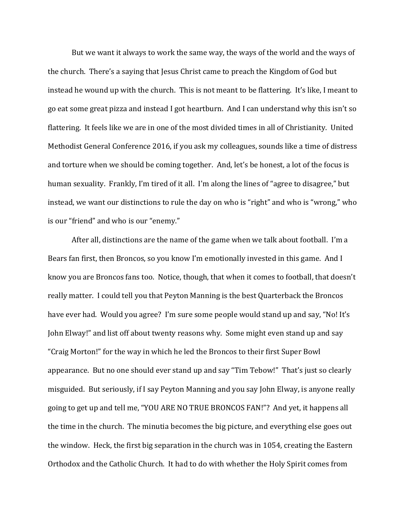But we want it always to work the same way, the ways of the world and the ways of the church. There's a saying that Jesus Christ came to preach the Kingdom of God but instead he wound up with the church. This is not meant to be flattering. It's like, I meant to go eat some great pizza and instead I got heartburn. And I can understand why this isn't so flattering. It feels like we are in one of the most divided times in all of Christianity. United Methodist General Conference 2016, if you ask my colleagues, sounds like a time of distress and torture when we should be coming together. And, let's be honest, a lot of the focus is human sexuality. Frankly, I'm tired of it all. I'm along the lines of "agree to disagree," but instead, we want our distinctions to rule the day on who is "right" and who is "wrong," who is our "friend" and who is our "enemy."

After all, distinctions are the name of the game when we talk about football. I'm a Bears fan first, then Broncos, so you know I'm emotionally invested in this game. And I know you are Broncos fans too. Notice, though, that when it comes to football, that doesn't really matter. I could tell you that Peyton Manning is the best Quarterback the Broncos have ever had. Would you agree? I'm sure some people would stand up and say, "No! It's John Elway!" and list off about twenty reasons why. Some might even stand up and say "Craig Morton!" for the way in which he led the Broncos to their first Super Bowl appearance. But no one should ever stand up and say "Tim Tebow!" That's just so clearly misguided. But seriously, if I say Peyton Manning and you say John Elway, is anyone really going to get up and tell me, "YOU ARE NO TRUE BRONCOS FAN!"? And yet, it happens all the time in the church. The minutia becomes the big picture, and everything else goes out the window. Heck, the first big separation in the church was in 1054, creating the Eastern Orthodox and the Catholic Church. It had to do with whether the Holy Spirit comes from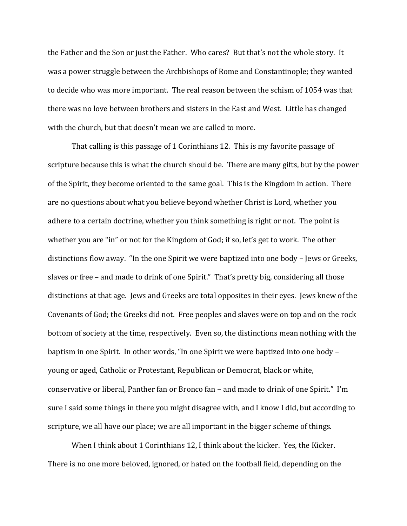the Father and the Son or just the Father. Who cares? But that's not the whole story. It was a power struggle between the Archbishops of Rome and Constantinople; they wanted to decide who was more important. The real reason between the schism of 1054 was that there was no love between brothers and sisters in the East and West. Little has changed with the church, but that doesn't mean we are called to more.

That calling is this passage of 1 Corinthians 12. This is my favorite passage of scripture because this is what the church should be. There are many gifts, but by the power of the Spirit, they become oriented to the same goal. This is the Kingdom in action. There are no questions about what you believe beyond whether Christ is Lord, whether you adhere to a certain doctrine, whether you think something is right or not. The point is whether you are "in" or not for the Kingdom of God; if so, let's get to work. The other distinctions flow away. "In the one Spirit we were baptized into one body – Jews or Greeks, slaves or free – and made to drink of one Spirit." That's pretty big, considering all those distinctions at that age. Jews and Greeks are total opposites in their eyes. Jews knew of the Covenants of God; the Greeks did not. Free peoples and slaves were on top and on the rock bottom of society at the time, respectively. Even so, the distinctions mean nothing with the baptism in one Spirit. In other words, "In one Spirit we were baptized into one body – young or aged, Catholic or Protestant, Republican or Democrat, black or white, conservative or liberal, Panther fan or Bronco fan – and made to drink of one Spirit." I'm sure I said some things in there you might disagree with, and I know I did, but according to scripture, we all have our place; we are all important in the bigger scheme of things.

When I think about 1 Corinthians 12, I think about the kicker. Yes, the Kicker. There is no one more beloved, ignored, or hated on the football field, depending on the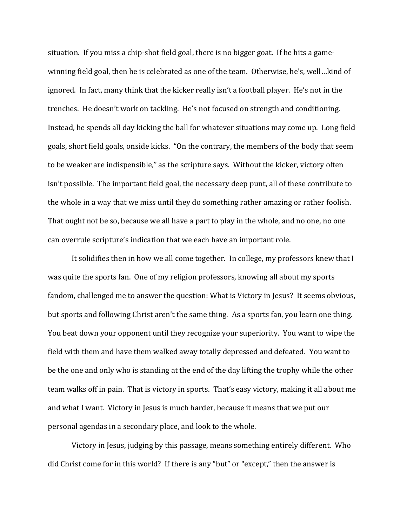situation. If you miss a chip-shot field goal, there is no bigger goat. If he hits a gamewinning field goal, then he is celebrated as one of the team. Otherwise, he's, well…kind of ignored. In fact, many think that the kicker really isn't a football player. He's not in the trenches. He doesn't work on tackling. He's not focused on strength and conditioning. Instead, he spends all day kicking the ball for whatever situations may come up. Long field goals, short field goals, onside kicks. "On the contrary, the members of the body that seem to be weaker are indispensible," as the scripture says. Without the kicker, victory often isn't possible. The important field goal, the necessary deep punt, all of these contribute to the whole in a way that we miss until they do something rather amazing or rather foolish. That ought not be so, because we all have a part to play in the whole, and no one, no one can overrule scripture's indication that we each have an important role.

It solidifies then in how we all come together. In college, my professors knew that I was quite the sports fan. One of my religion professors, knowing all about my sports fandom, challenged me to answer the question: What is Victory in Jesus? It seems obvious, but sports and following Christ aren't the same thing. As a sports fan, you learn one thing. You beat down your opponent until they recognize your superiority. You want to wipe the field with them and have them walked away totally depressed and defeated. You want to be the one and only who is standing at the end of the day lifting the trophy while the other team walks off in pain. That is victory in sports. That's easy victory, making it all about me and what I want. Victory in Jesus is much harder, because it means that we put our personal agendas in a secondary place, and look to the whole.

Victory in Jesus, judging by this passage, means something entirely different. Who did Christ come for in this world? If there is any "but" or "except," then the answer is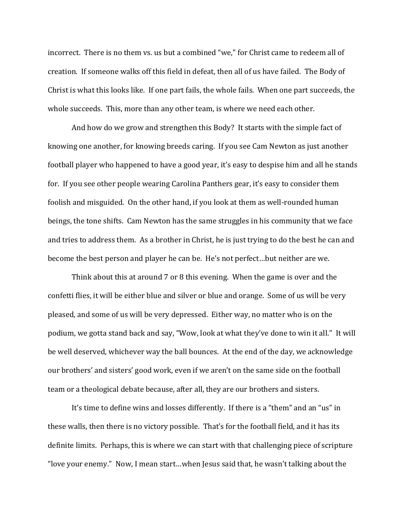incorrect. There is no them vs. us but a combined "we," for Christ came to redeem all of creation. If someone walks off this field in defeat, then all of us have failed. The Body of Christ is what this looks like. If one part fails, the whole fails. When one part succeeds, the whole succeeds. This, more than any other team, is where we need each other.

And how do we grow and strengthen this Body? It starts with the simple fact of knowing one another, for knowing breeds caring. If you see Cam Newton as just another football player who happened to have a good year, it's easy to despise him and all he stands for. If you see other people wearing Carolina Panthers gear, it's easy to consider them foolish and misguided. On the other hand, if you look at them as well-rounded human beings, the tone shifts. Cam Newton has the same struggles in his community that we face and tries to address them. As a brother in Christ, he is just trying to do the best he can and become the best person and player he can be. He's not perfect…but neither are we.

Think about this at around 7 or 8 this evening. When the game is over and the confetti flies, it will be either blue and silver or blue and orange. Some of us will be very pleased, and some of us will be very depressed. Either way, no matter who is on the podium, we gotta stand back and say, "Wow, look at what they've done to win it all." It will be well deserved, whichever way the ball bounces. At the end of the day, we acknowledge our brothers' and sisters' good work, even if we aren't on the same side on the football team or a theological debate because, after all, they are our brothers and sisters.

It's time to define wins and losses differently. If there is a "them" and an "us" in these walls, then there is no victory possible. That's for the football field, and it has its definite limits. Perhaps, this is where we can start with that challenging piece of scripture "love your enemy." Now, I mean start…when Jesus said that, he wasn't talking about the